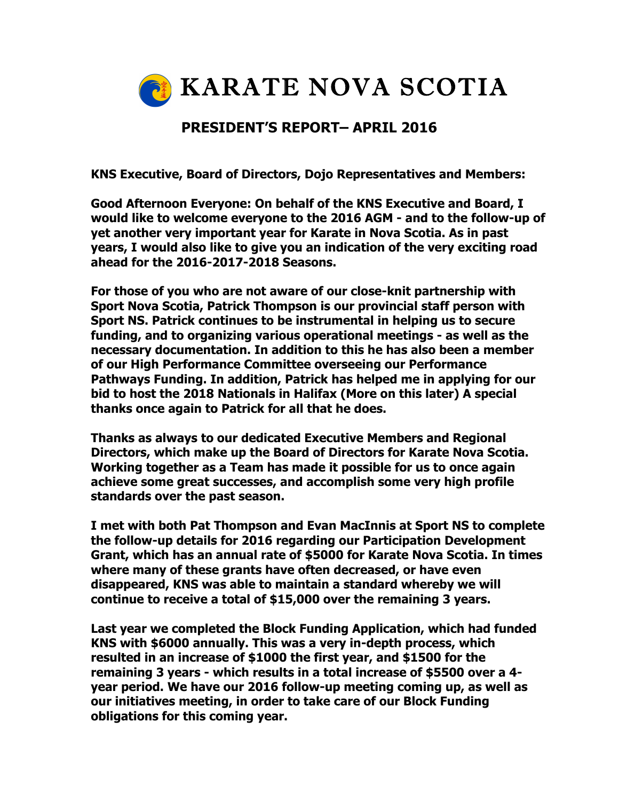

## **PRESIDENT'S REPORT– APRIL 2016**

**KNS Executive, Board of Directors, Dojo Representatives and Members:**

**Good Afternoon Everyone: On behalf of the KNS Executive and Board, I would like to welcome everyone to the 2016 AGM - and to the follow-up of yet another very important year for Karate in Nova Scotia. As in past years, I would also like to give you an indication of the very exciting road ahead for the 2016-2017-2018 Seasons.**

**For those of you who are not aware of our close-knit partnership with Sport Nova Scotia, Patrick Thompson is our provincial staff person with Sport NS. Patrick continues to be instrumental in helping us to secure funding, and to organizing various operational meetings - as well as the necessary documentation. In addition to this he has also been a member of our High Performance Committee overseeing our Performance Pathways Funding. In addition, Patrick has helped me in applying for our bid to host the 2018 Nationals in Halifax (More on this later) A special thanks once again to Patrick for all that he does.**

**Thanks as always to our dedicated Executive Members and Regional Directors, which make up the Board of Directors for Karate Nova Scotia. Working together as a Team has made it possible for us to once again achieve some great successes, and accomplish some very high profile standards over the past season.**

**I met with both Pat Thompson and Evan MacInnis at Sport NS to complete the follow-up details for 2016 regarding our Participation Development Grant, which has an annual rate of \$5000 for Karate Nova Scotia. In times where many of these grants have often decreased, or have even disappeared, KNS was able to maintain a standard whereby we will continue to receive a total of \$15,000 over the remaining 3 years.**

**Last year we completed the Block Funding Application, which had funded KNS with \$6000 annually. This was a very in-depth process, which resulted in an increase of \$1000 the first year, and \$1500 for the remaining 3 years - which results in a total increase of \$5500 over a 4 year period. We have our 2016 follow-up meeting coming up, as well as our initiatives meeting, in order to take care of our Block Funding obligations for this coming year.**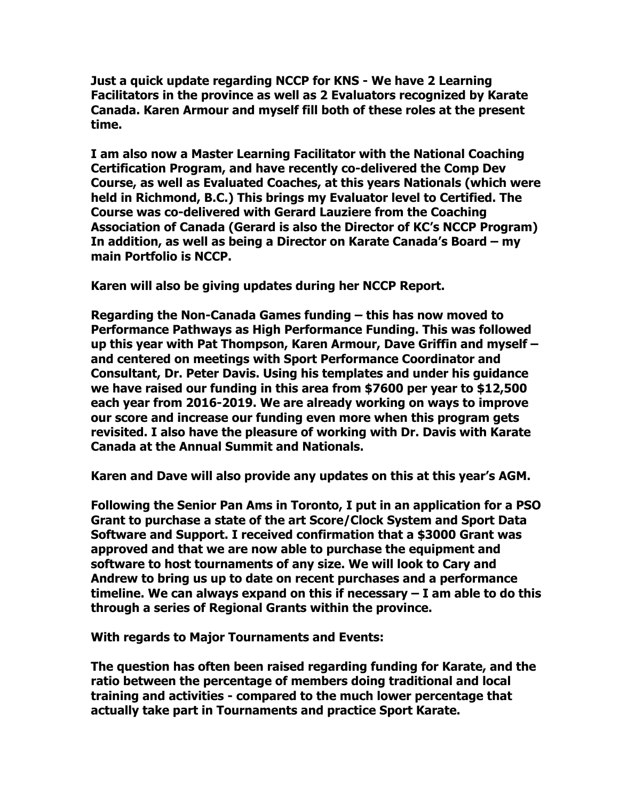**Just a quick update regarding NCCP for KNS - We have 2 Learning Facilitators in the province as well as 2 Evaluators recognized by Karate Canada. Karen Armour and myself fill both of these roles at the present time.**

**I am also now a Master Learning Facilitator with the National Coaching Certification Program, and have recently co-delivered the Comp Dev Course, as well as Evaluated Coaches, at this years Nationals (which were held in Richmond, B.C.) This brings my Evaluator level to Certified. The Course was co-delivered with Gerard Lauziere from the Coaching Association of Canada (Gerard is also the Director of KC's NCCP Program) In addition, as well as being a Director on Karate Canada's Board – my main Portfolio is NCCP.** 

**Karen will also be giving updates during her NCCP Report.** 

**Regarding the Non-Canada Games funding – this has now moved to Performance Pathways as High Performance Funding. This was followed up this year with Pat Thompson, Karen Armour, Dave Griffin and myself – and centered on meetings with Sport Performance Coordinator and Consultant, Dr. Peter Davis. Using his templates and under his guidance we have raised our funding in this area from \$7600 per year to \$12,500 each year from 2016-2019. We are already working on ways to improve our score and increase our funding even more when this program gets revisited. I also have the pleasure of working with Dr. Davis with Karate Canada at the Annual Summit and Nationals.**

**Karen and Dave will also provide any updates on this at this year's AGM.**

**Following the Senior Pan Ams in Toronto, I put in an application for a PSO Grant to purchase a state of the art Score/Clock System and Sport Data Software and Support. I received confirmation that a \$3000 Grant was approved and that we are now able to purchase the equipment and software to host tournaments of any size. We will look to Cary and Andrew to bring us up to date on recent purchases and a performance timeline. We can always expand on this if necessary – I am able to do this through a series of Regional Grants within the province.**

**With regards to Major Tournaments and Events:**

**The question has often been raised regarding funding for Karate, and the ratio between the percentage of members doing traditional and local training and activities - compared to the much lower percentage that actually take part in Tournaments and practice Sport Karate.**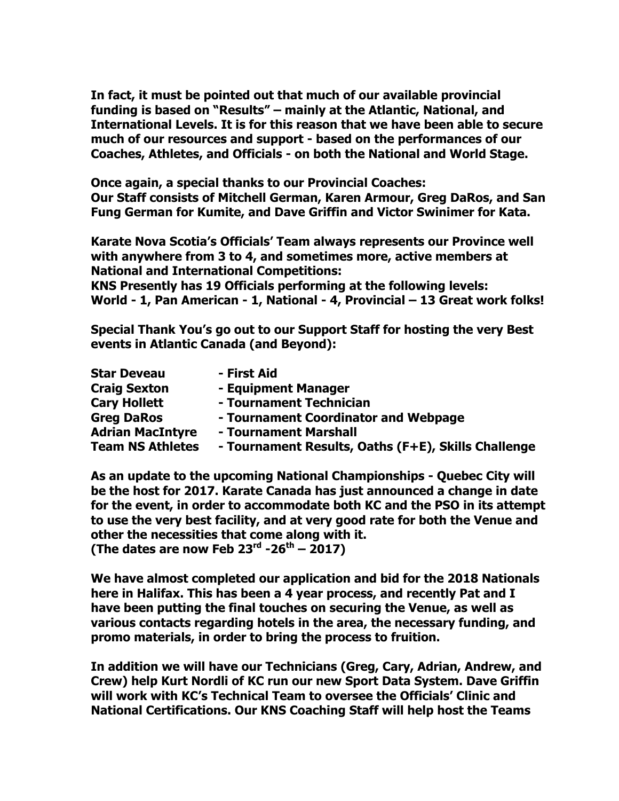**In fact, it must be pointed out that much of our available provincial funding is based on "Results" – mainly at the Atlantic, National, and International Levels. It is for this reason that we have been able to secure much of our resources and support - based on the performances of our Coaches, Athletes, and Officials - on both the National and World Stage.**

**Once again, a special thanks to our Provincial Coaches: Our Staff consists of Mitchell German, Karen Armour, Greg DaRos, and San** 

**Fung German for Kumite, and Dave Griffin and Victor Swinimer for Kata.**

**Karate Nova Scotia's Officials' Team always represents our Province well with anywhere from 3 to 4, and sometimes more, active members at National and International Competitions:**

**KNS Presently has 19 Officials performing at the following levels: World - 1, Pan American - 1, National - 4, Provincial – 13 Great work folks!**

**Special Thank You's go out to our Support Staff for hosting the very Best events in Atlantic Canada (and Beyond):**

| <b>Star Deveau</b>      | - First Aid                                         |
|-------------------------|-----------------------------------------------------|
| <b>Craig Sexton</b>     | - Equipment Manager                                 |
| <b>Cary Hollett</b>     | - Tournament Technician                             |
| <b>Greg DaRos</b>       | - Tournament Coordinator and Webpage                |
| <b>Adrian MacIntyre</b> | - Tournament Marshall                               |
| <b>Team NS Athletes</b> | - Tournament Results, Oaths (F+E), Skills Challenge |

**As an update to the upcoming National Championships - Quebec City will be the host for 2017. Karate Canada has just announced a change in date for the event, in order to accommodate both KC and the PSO in its attempt to use the very best facility, and at very good rate for both the Venue and other the necessities that come along with it. (The dates are now Feb 23rd -26th – 2017)**

**We have almost completed our application and bid for the 2018 Nationals here in Halifax. This has been a 4 year process, and recently Pat and I have been putting the final touches on securing the Venue, as well as various contacts regarding hotels in the area, the necessary funding, and promo materials, in order to bring the process to fruition.** 

**In addition we will have our Technicians (Greg, Cary, Adrian, Andrew, and Crew) help Kurt Nordli of KC run our new Sport Data System. Dave Griffin will work with KC's Technical Team to oversee the Officials' Clinic and National Certifications. Our KNS Coaching Staff will help host the Teams**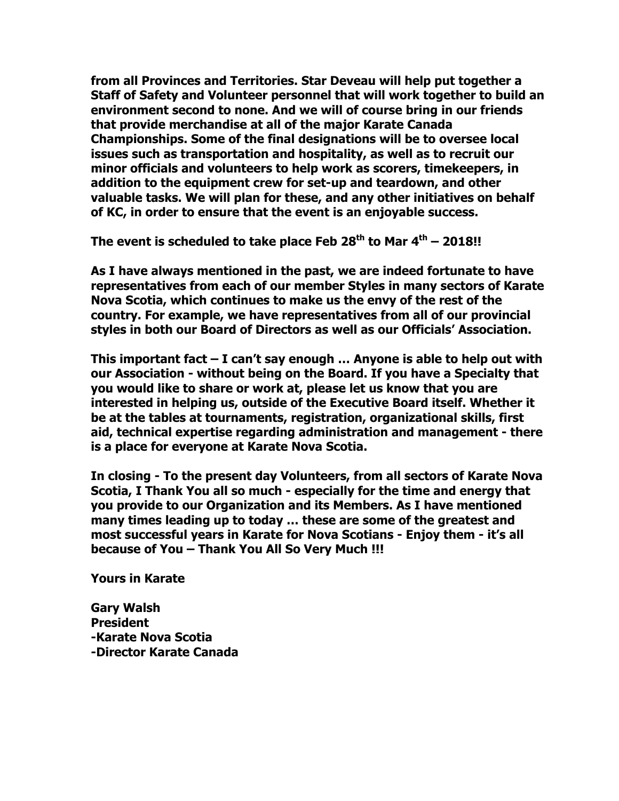**from all Provinces and Territories. Star Deveau will help put together a Staff of Safety and Volunteer personnel that will work together to build an environment second to none. And we will of course bring in our friends that provide merchandise at all of the major Karate Canada Championships. Some of the final designations will be to oversee local issues such as transportation and hospitality, as well as to recruit our minor officials and volunteers to help work as scorers, timekeepers, in addition to the equipment crew for set-up and teardown, and other valuable tasks. We will plan for these, and any other initiatives on behalf of KC, in order to ensure that the event is an enjoyable success.** 

**The event is scheduled to take place Feb 28th to Mar 4th – 2018!!**

**As I have always mentioned in the past, we are indeed fortunate to have representatives from each of our member Styles in many sectors of Karate Nova Scotia, which continues to make us the envy of the rest of the country. For example, we have representatives from all of our provincial styles in both our Board of Directors as well as our Officials' Association.** 

**This important fact – I can't say enough … Anyone is able to help out with our Association - without being on the Board. If you have a Specialty that you would like to share or work at, please let us know that you are interested in helping us, outside of the Executive Board itself. Whether it be at the tables at tournaments, registration, organizational skills, first aid, technical expertise regarding administration and management - there is a place for everyone at Karate Nova Scotia.** 

**In closing - To the present day Volunteers, from all sectors of Karate Nova Scotia, I Thank You all so much - especially for the time and energy that you provide to our Organization and its Members. As I have mentioned many times leading up to today … these are some of the greatest and most successful years in Karate for Nova Scotians - Enjoy them - it's all because of You – Thank You All So Very Much !!!**

**Yours in Karate**

**Gary Walsh President -Karate Nova Scotia -Director Karate Canada**